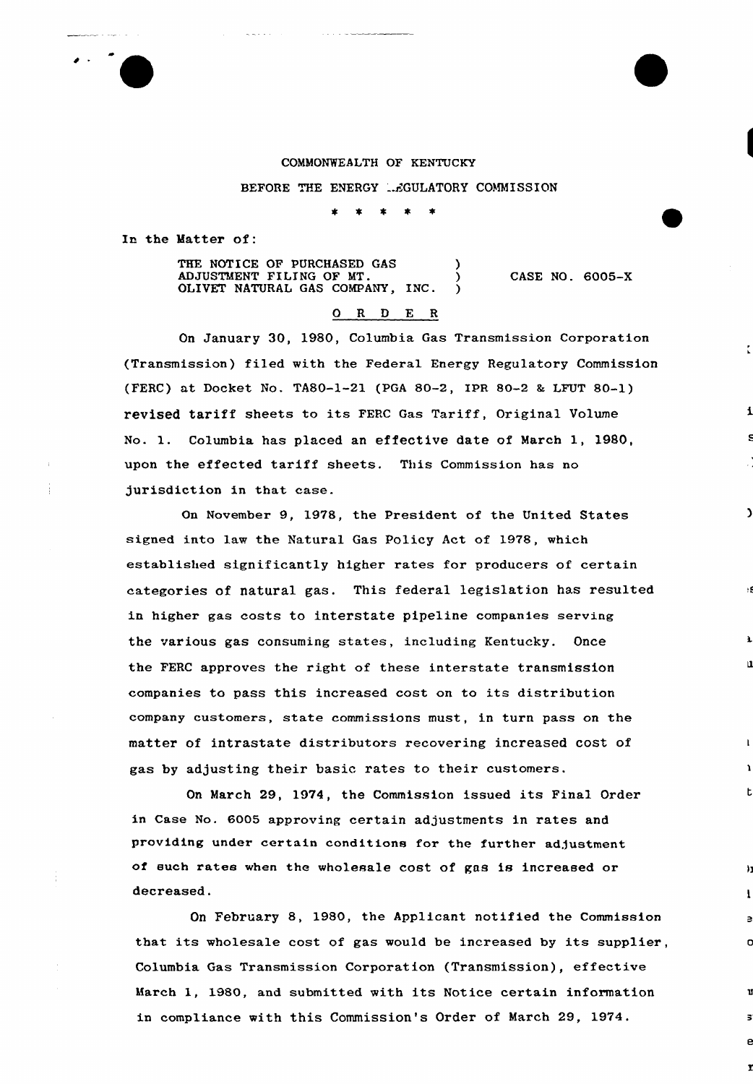## COMMONWEALTH OF KENTUCKY

BEFORE THE ENERGY ... CULATORY COMMISSION

In the Matter of:

THE NOTICE OF PURCHASED GAS ADJUSTMENT FILING OF MT. ) OLIVET NATURAL GAS COMPANY, INC.

CASE NO. 6005-X

 $\mathbf{C}$ 

 $\mathbf u$ 

n

## 0 R <sup>D</sup> E <sup>R</sup>

On January 30, 1980, Columbia Gas Transmission Corporation (Transmission) filed with the Federal Energy Regulatory Commission (FERC) ut Docket No. TA80-1-21 (PGA 80-2, IPR 80-2 <sup>8</sup> LFUT 80-1) revised tariff sheets to its FERC Gas Tariff, Original Volume No. 1. Columbia has placed an effective date of March 1, 1980, upon the effected tariff sheets. This Commission has no jurisdiction in that case.

On November 9, 1978, the President of the United States signed into law the Natural Gas Policy Act of 1978, which established significantly higher rates for producers of certain categories of natural gas. This federal legislation has resulted in higher gas costs to interstate pipeline companies serving the various gas consuming states, including Kentucky. Once the FERC approves the right of these interstate transmission companies to pass this increased cost on to its distribution company customers, state commissions must, in turn pass on the matter of intrastate distributors recovering increased cost of gas by adjusting their basic rates to their customers.

On March 29, 1974, the Commission issued its Final Order in Case No. 6005 approving certain adjustments in rates and providing under certain conditions for the further adjustment of euch rates when the wholesale cost of gas is increased or decreased.

On February 8, 1980, the Applicant notified the Commission that its wholesale cost of gas would be increased by its supplier, Columbia Gas Transmission Corporation {Transmission), effective March 1, 1980, and submitted with its Notice certain information in compliance with this Commission's Order of March 29, 1974.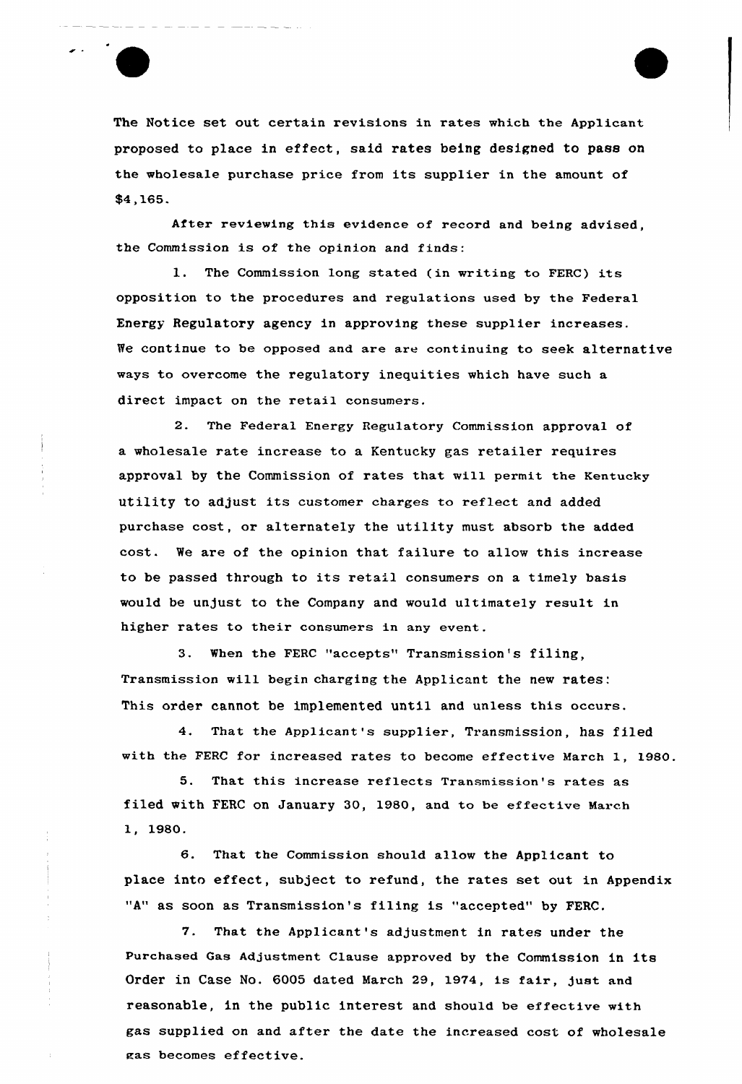The Notice set out certain revisions in rates which the Applicant proposed to place in effect, said rates being designed to pass on the wholesale purchase price from its supplier in the amount of \$4,165.

After reviewing this evidence of record and being advised, the Commission is of the opinion and finds:

l. The Commission long stated (in writing to FERC) its opposition to the procedures and regulations used by the Federal Enexgy Regulatory agency in approving these supplier increases. We continue to be opposed and are are continuing to seek alternative ways to overcome the regulatory inequities which have such a direct impact on the retail consumers.

2. The Federa1 Energy Regulatory Commission approval of a wholesale rate increase to a Kentucky gas retailer requires approval by the Commission of rates that will permit the Kentucky utility to adjust its customer charges to reflect and added purchase cost, or alternately the utility must absorb the added cost. We are of the opinion that failure to allow this increase to be passed through to its retail consumers on a timely basis would be unjust to the Company and would ultimately result in higher rates to their consumers in any event.

3. When the FERC "accepts" Transmission's filing, Txansmission will begin chaxging the Applicant the new rates: This order cannot be implemented until and unless this occurs.

4. That the Applicant's supplier, Transmission, has filed with the FERC for increased rates to become effective March 1, 1980.

5. That this increase reflects Transmission's rates as filed with FERC on January 30, 1980, and to be effective March 1, 1980.

6. That the Commission should allow the Applicant to place into effect, subject to refund, the rates set out in Appendix "A" as soon as Transmission's filing is "accepted" by FERC.

7. That the Applicant's adjustment in rates under the purchased Gas Adjustment Clause appxoved by the Commission in its Order in Case No. 6005 dated March 29, 1974, is fair, just and reasonable, in the public interest and should be effective with gas supplied on and after the date the increased cost of wholesale zas becomes effective.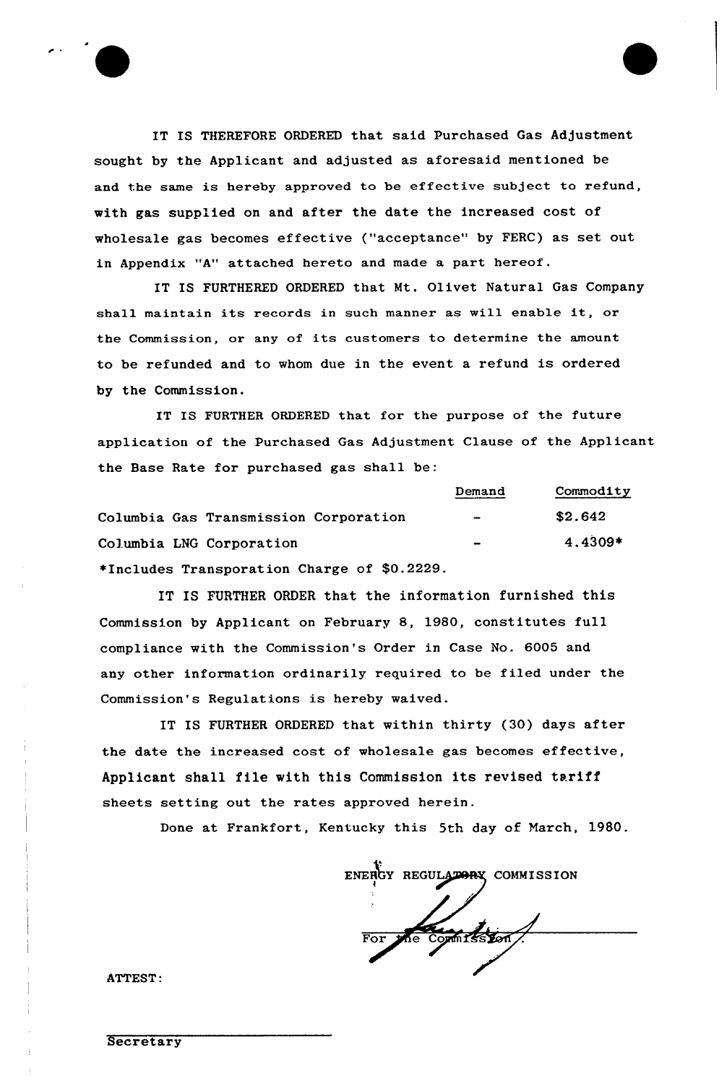

IT IS THEREFORE ORDERED that said Purchased Gas Adjustment sought by the Applicant and adjusted as aforesaid mentioned be and the same is hereby approved to be effective subject to refund, with gas supplied on and after the date the increased cost of wholesale gas becomes effective ("acceptance" by FERC) as set out in Appendix "A" attached hereto and made a part hereof.

IT IS FURTHERED ORDERED that Mt. Olivet Natural Gas Company shall maintain its records in such manner as will enable it, or the Commission, or any of its customers to determine the amount to be refunded and to whom due in the event a refund is ordered by the Commission.

IT IS FURTHER ORDERED that for the purpose of the future application of the Purchased Gas Adjustment Clause of the Applicant the Base Rate for purchased gas shall be:

|                                             | Demand                   | Commodity |
|---------------------------------------------|--------------------------|-----------|
| Columbia Gas Transmission Corporation       | $\overline{\phantom{0}}$ | \$2.642   |
| Columbia LNG Corporation                    | $\blacksquare$           | 4.4309*   |
| *Includes Transporation Charge of \$0.2229. |                          |           |

IT IS FURTHER ORDER that the information furnished this Commission by Applicant on February 8, 1980, constitutes full compliance with the Commission's Order in Case No. 6005 and any other information ordinarily required to be filed under the Commission's Regulations is hereby waived.

IT IS FURTHER ORDERED that within thirty (30) days after the date the increased cost of wholesale gas becomes effective, Applicant shall file with this Commission its revised tariff sheets setting out the rates approved herein.

Done at Frankfort, Kentucky this 5th day of March, 1980.

ENERGY REGULATORY COMMISSION For the committeent

ATTEST: